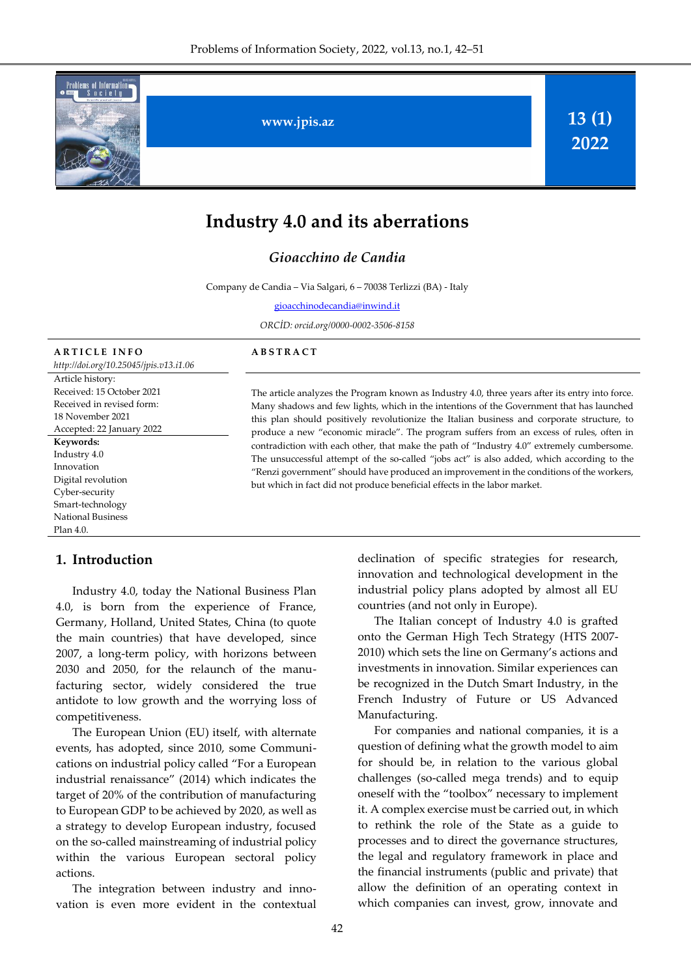

# **Industry 4.0 and its aberrations**

### *Gioacchino de Candia*

Company de Candia – Via Salgari, 6 – 70038 Terlizzi (BA) - Italy

[gioacchinodecandia@inwind.it](mailto:r.alguliev@gmail.com)

*ORCİD: orcid.org/0000-0002-3506-8158*

| <b>ARTICLE INFO</b>                    |
|----------------------------------------|
| http://doi.org/10.25045/jpis.v13.i1.06 |
| Article history:                       |
| Received: 15 October 2021              |
| Received in revised form:              |
| 18 November 2021                       |
| Accepted: 22 January 2022              |
| Keywords:                              |
| Industry 4.0                           |
| Innovation                             |
| Digital revolution                     |
| Cyber-security                         |
| Smart-technology                       |
| <b>National Business</b>               |
| Plan 4.0.                              |

#### **1. Introduction**

Industry 4.0, today the National Business Plan 4.0, is born from the experience of France, Germany, Holland, United States, China (to quote the main countries) that have developed, since 2007, a long-term policy, with horizons between 2030 and 2050, for the relaunch of the manufacturing sector, widely considered the true antidote to low growth and the worrying loss of competitiveness.

The European Union (EU) itself, with alternate events, has adopted, since 2010, some Communications on industrial policy called "For a European industrial renaissance" (2014) which indicates the target of 20% of the contribution of manufacturing to European GDP to be achieved by 2020, as well as a strategy to develop European industry, focused on the so-called mainstreaming of industrial policy within the various European sectoral policy actions.

The integration between industry and innovation is even more evident in the contextual

#### **A B S T R A C T**

The article analyzes the Program known as Industry 4.0, three years after its entry into force. Many shadows and few lights, which in the intentions of the Government that has launched this plan should positively revolutionize the Italian business and corporate structure, to produce a new "economic miracle". The program suffers from an excess of rules, often in contradiction with each other, that make the path of "Industry 4.0" extremely cumbersome. The unsuccessful attempt of the so-called "jobs act" is also added, which according to the "Renzi government" should have produced an improvement in the conditions of the workers, but which in fact did not produce beneficial effects in the labor market.

> declination of specific strategies for research, innovation and technological development in the industrial policy plans adopted by almost all EU countries (and not only in Europe).

> The Italian concept of Industry 4.0 is grafted onto the German High Tech Strategy (HTS 2007- 2010) which sets the line on Germany's actions and investments in innovation. Similar experiences can be recognized in the Dutch Smart Industry, in the French Industry of Future or US Advanced Manufacturing.

> For companies and national companies, it is a question of defining what the growth model to aim for should be, in relation to the various global challenges (so-called mega trends) and to equip oneself with the "toolbox" necessary to implement it. A complex exercise must be carried out, in which to rethink the role of the State as a guide to processes and to direct the governance structures, the legal and regulatory framework in place and the financial instruments (public and private) that allow the definition of an operating context in which companies can invest, grow, innovate and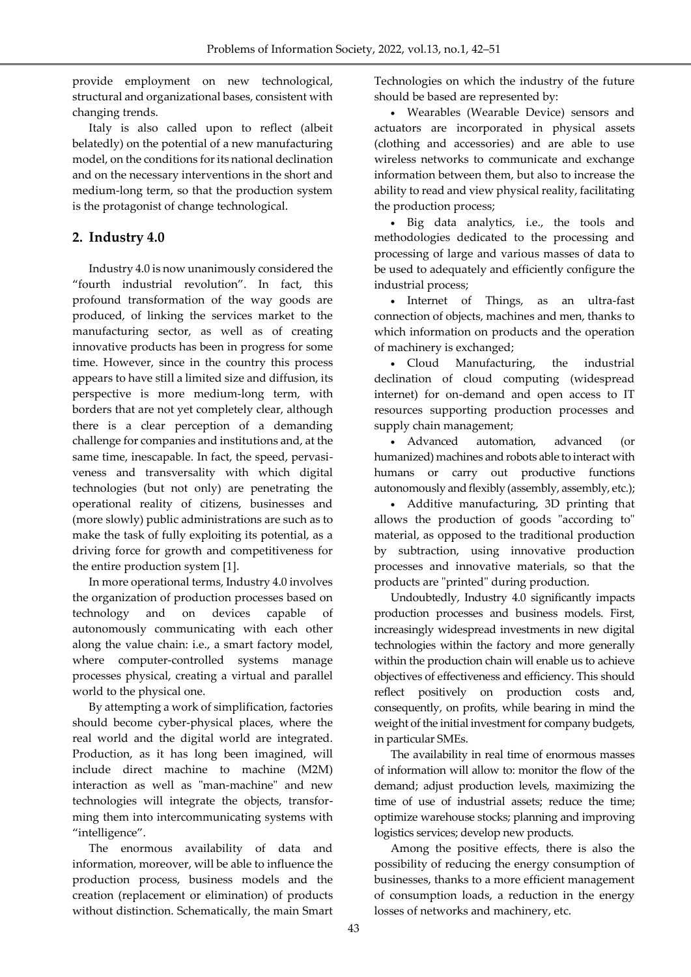provide employment on new technological, structural and organizational bases, consistent with changing trends.

Italy is also called upon to reflect (albeit belatedly) on the potential of a new manufacturing model, on the conditions for its national declination and on the necessary interventions in the short and medium-long term, so that the production system is the protagonist of change technological.

### **2. Industry 4.0**

Industry 4.0 is now unanimously considered the "fourth industrial revolution". In fact, this profound transformation of the way goods are produced, of linking the services market to the manufacturing sector, as well as of creating innovative products has been in progress for some time. However, since in the country this process appears to have still a limited size and diffusion, its perspective is more medium-long term, with borders that are not yet completely clear, although there is a clear perception of a demanding challenge for companies and institutions and, at the same time, inescapable. In fact, the speed, pervasiveness and transversality with which digital technologies (but not only) are penetrating the operational reality of citizens, businesses and (more slowly) public administrations are such as to make the task of fully exploiting its potential, as a driving force for growth and competitiveness for the entire production system [1].

In more operational terms, Industry 4.0 involves the organization of production processes based on technology and on devices capable of autonomously communicating with each other along the value chain: i.e., a smart factory model, where computer-controlled systems manage processes physical, creating a virtual and parallel world to the physical one.

By attempting a work of simplification, factories should become cyber-physical places, where the real world and the digital world are integrated. Production, as it has long been imagined, will include direct machine to machine (M2M) interaction as well as "man-machine" and new technologies will integrate the objects, transforming them into intercommunicating systems with "intelligence".

The enormous availability of data and information, moreover, will be able to influence the production process, business models and the creation (replacement or elimination) of products without distinction. Schematically, the main Smart Technologies on which the industry of the future should be based are represented by:

 Wearables (Wearable Device) sensors and actuators are incorporated in physical assets (clothing and accessories) and are able to use wireless networks to communicate and exchange information between them, but also to increase the ability to read and view physical reality, facilitating the production process;

 Big data analytics, i.e., the tools and methodologies dedicated to the processing and processing of large and various masses of data to be used to adequately and efficiently configure the industrial process;

 Internet of Things, as an ultra-fast connection of objects, machines and men, thanks to which information on products and the operation of machinery is exchanged;

 Cloud Manufacturing, the industrial declination of cloud computing (widespread internet) for on-demand and open access to IT resources supporting production processes and supply chain management;

 Advanced automation, advanced (or humanized) machines and robots able to interact with humans or carry out productive functions autonomously and flexibly (assembly, assembly, etc.);

 Additive manufacturing, 3D printing that allows the production of goods "according to" material, as opposed to the traditional production by subtraction, using innovative production processes and innovative materials, so that the products are "printed" during production.

Undoubtedly, Industry 4.0 significantly impacts production processes and business models. First, increasingly widespread investments in new digital technologies within the factory and more generally within the production chain will enable us to achieve objectives of effectiveness and efficiency. This should reflect positively on production costs and, consequently, on profits, while bearing in mind the weight of the initial investment for company budgets, in particular SMEs.

The availability in real time of enormous masses of information will allow to: monitor the flow of the demand; adjust production levels, maximizing the time of use of industrial assets; reduce the time; optimize warehouse stocks; planning and improving logistics services; develop new products.

Among the positive effects, there is also the possibility of reducing the energy consumption of businesses, thanks to a more efficient management of consumption loads, a reduction in the energy losses of networks and machinery, etc.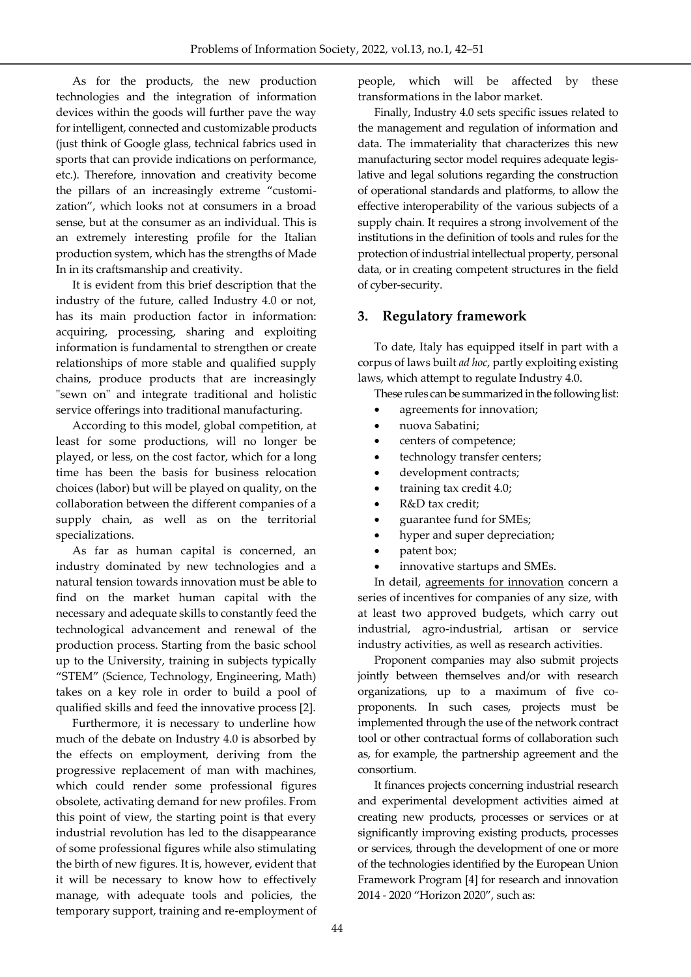As for the products, the new production technologies and the integration of information devices within the goods will further pave the way for intelligent, connected and customizable products (just think of Google glass, technical fabrics used in sports that can provide indications on performance, etc.). Therefore, innovation and creativity become the pillars of an increasingly extreme "customization", which looks not at consumers in a broad sense, but at the consumer as an individual. This is an extremely interesting profile for the Italian production system, which has the strengths of Made In in its craftsmanship and creativity.

It is evident from this brief description that the industry of the future, called Industry 4.0 or not, has its main production factor in information: acquiring, processing, sharing and exploiting information is fundamental to strengthen or create relationships of more stable and qualified supply chains, produce products that are increasingly "sewn on" and integrate traditional and holistic service offerings into traditional manufacturing.

According to this model, global competition, at least for some productions, will no longer be played, or less, on the cost factor, which for a long time has been the basis for business relocation choices (labor) but will be played on quality, on the collaboration between the different companies of a supply chain, as well as on the territorial specializations.

As far as human capital is concerned, an industry dominated by new technologies and a natural tension towards innovation must be able to find on the market human capital with the necessary and adequate skills to constantly feed the technological advancement and renewal of the production process. Starting from the basic school up to the University, training in subjects typically "STEM" (Science, Technology, Engineering, Math) takes on a key role in order to build a pool of qualified skills and feed the innovative process [2].

Furthermore, it is necessary to underline how much of the debate on Industry 4.0 is absorbed by the effects on employment, deriving from the progressive replacement of man with machines, which could render some professional figures obsolete, activating demand for new profiles. From this point of view, the starting point is that every industrial revolution has led to the disappearance of some professional figures while also stimulating the birth of new figures. It is, however, evident that it will be necessary to know how to effectively manage, with adequate tools and policies, the temporary support, training and re-employment of

people, which will be affected by these transformations in the labor market.

Finally, Industry 4.0 sets specific issues related to the management and regulation of information and data. The immateriality that characterizes this new manufacturing sector model requires adequate legislative and legal solutions regarding the construction of operational standards and platforms, to allow the effective interoperability of the various subjects of a supply chain. It requires a strong involvement of the institutions in the definition of tools and rules for the protection of industrial intellectual property, personal data, or in creating competent structures in the field of cyber-security.

### **3. Regulatory framework**

To date, Italy has equipped itself in part with a corpus of laws built *ad hoc*, partly exploiting existing laws, which attempt to regulate Industry 4.0.

These rules can be summarized in the following list:

- agreements for innovation;
- nuova Sabatini;
- centers of competence;
- technology transfer centers;
- development contracts;
- training tax credit 4.0;
- R&D tax credit;
- guarantee fund for SMEs;
- hyper and super depreciation;
- patent box;
- innovative startups and SMEs.

In detail, agreements for innovation concern a series of incentives for companies of any size, with at least two approved budgets, which carry out industrial, agro-industrial, artisan or service industry activities, as well as research activities.

Proponent companies may also submit projects jointly between themselves and/or with research organizations, up to a maximum of five coproponents. In such cases, projects must be implemented through the use of the network contract tool or other contractual forms of collaboration such as, for example, the partnership agreement and the consortium.

It finances projects concerning industrial research and experimental development activities aimed at creating new products, processes or services or at significantly improving existing products, processes or services, through the development of one or more of the technologies identified by the European Union Framework Program [4] for research and innovation 2014 - 2020 "Horizon 2020", such as: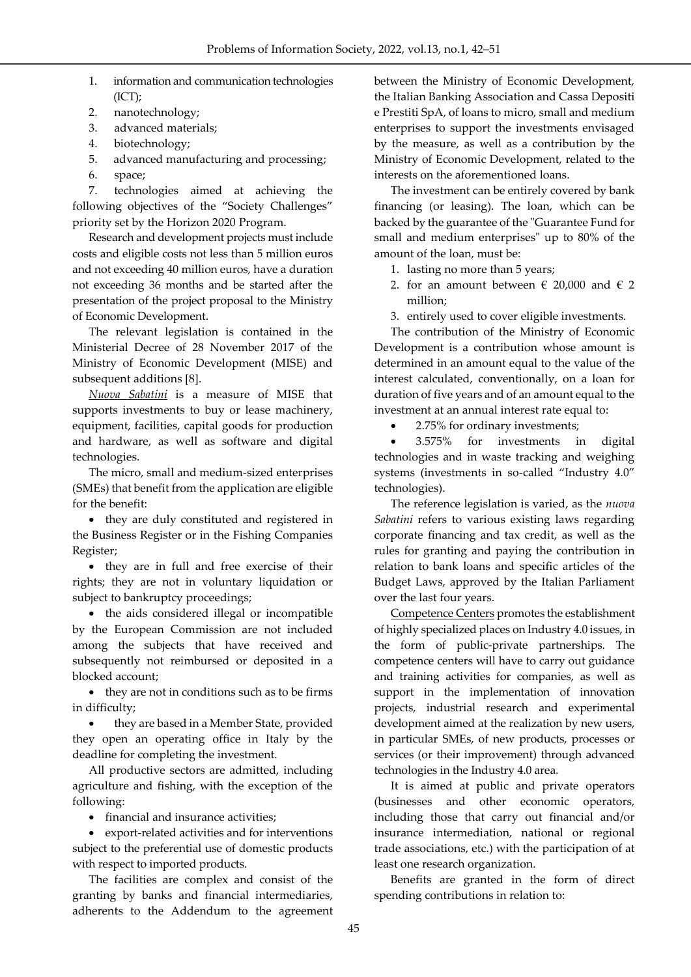- 1. information and communication technologies (ICT);
- 2. nanotechnology;
- 3. advanced materials;
- 4. biotechnology;
- 5. advanced manufacturing and processing;
- 6. space;

7. technologies aimed at achieving the following objectives of the "Society Challenges" priority set by the Horizon 2020 Program.

Research and development projects must include costs and eligible costs not less than 5 million euros and not exceeding 40 million euros, have a duration not exceeding 36 months and be started after the presentation of the project proposal to the Ministry of Economic Development.

The relevant legislation is contained in the Ministerial Decree of 28 November 2017 of the Ministry of Economic Development (MISE) and subsequent additions [8].

*Nuova Sabatini* is a measure of MISE that supports investments to buy or lease machinery, equipment, facilities, capital goods for production and hardware, as well as software and digital technologies.

The micro, small and medium-sized enterprises (SMEs) that benefit from the application are eligible for the benefit:

• they are duly constituted and registered in the Business Register or in the Fishing Companies Register;

• they are in full and free exercise of their rights; they are not in voluntary liquidation or subject to bankruptcy proceedings;

 the aids considered illegal or incompatible by the European Commission are not included among the subjects that have received and subsequently not reimbursed or deposited in a blocked account;

 they are not in conditions such as to be firms in difficulty;

 they are based in a Member State, provided they open an operating office in Italy by the deadline for completing the investment.

All productive sectors are admitted, including agriculture and fishing, with the exception of the following:

• financial and insurance activities;

 export-related activities and for interventions subject to the preferential use of domestic products with respect to imported products.

The facilities are complex and consist of the granting by banks and financial intermediaries, adherents to the Addendum to the agreement between the Ministry of Economic Development, the Italian Banking Association and Cassa Depositi e Prestiti SpA, of loans to micro, small and medium enterprises to support the investments envisaged by the measure, as well as a contribution by the Ministry of Economic Development, related to the interests on the aforementioned loans.

The investment can be entirely covered by bank financing (or leasing). The loan, which can be backed by the guarantee of the "Guarantee Fund for small and medium enterprises" up to 80% of the amount of the loan, must be:

- 1. lasting no more than 5 years;
- 2. for an amount between  $\epsilon$  20,000 and  $\epsilon$  2 million;
- 3. entirely used to cover eligible investments.

The contribution of the Ministry of Economic Development is a contribution whose amount is determined in an amount equal to the value of the interest calculated, conventionally, on a loan for duration of five years and of an amount equal to the investment at an annual interest rate equal to:

• 2.75% for ordinary investments;

 3.575% for investments in digital technologies and in waste tracking and weighing systems (investments in so-called "Industry 4.0" technologies).

The reference legislation is varied, as the *nuova Sabatini* refers to various existing laws regarding corporate financing and tax credit, as well as the rules for granting and paying the contribution in relation to bank loans and specific articles of the Budget Laws, approved by the Italian Parliament over the last four years.

Competence Centers promotes the establishment of highly specialized places on Industry 4.0 issues, in the form of public-private partnerships. The competence centers will have to carry out guidance and training activities for companies, as well as support in the implementation of innovation projects, industrial research and experimental development aimed at the realization by new users, in particular SMEs, of new products, processes or services (or their improvement) through advanced technologies in the Industry 4.0 area.

It is aimed at public and private operators (businesses and other economic operators, including those that carry out financial and/or insurance intermediation, national or regional trade associations, etc.) with the participation of at least one research organization.

Benefits are granted in the form of direct spending contributions in relation to: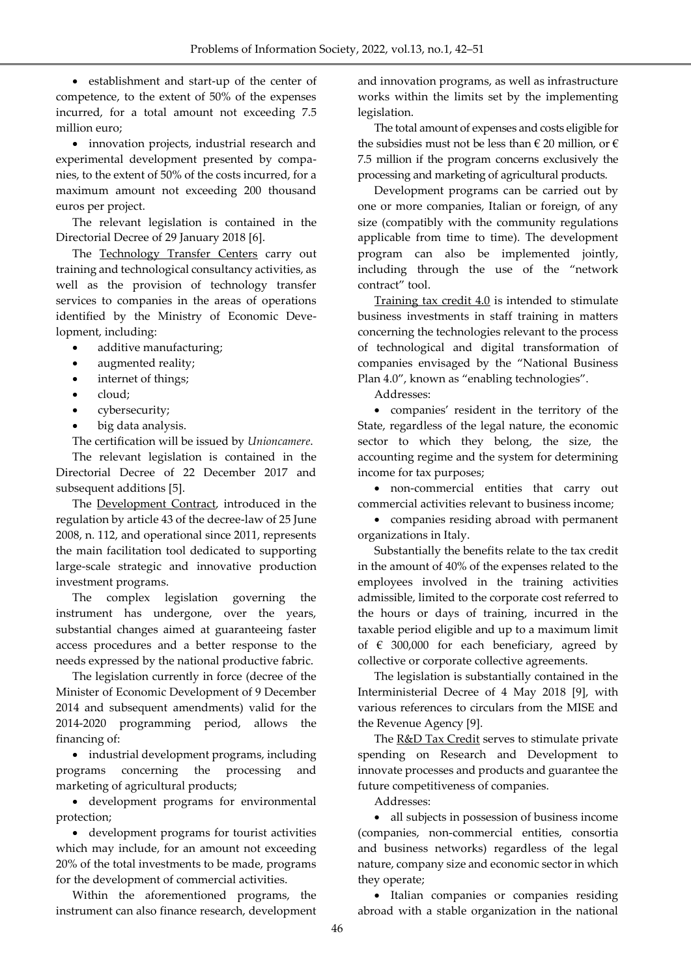establishment and start-up of the center of competence, to the extent of 50% of the expenses incurred, for a total amount not exceeding 7.5 million euro;

 innovation projects, industrial research and experimental development presented by companies, to the extent of 50% of the costs incurred, for a maximum amount not exceeding 200 thousand euros per project.

The relevant legislation is contained in the Directorial Decree of 29 January 2018 [6].

The Technology Transfer Centers carry out training and technological consultancy activities, as well as the provision of technology transfer services to companies in the areas of operations identified by the Ministry of Economic Development, including:

- additive manufacturing;
- augmented reality;
- internet of things;
- cloud;
- cybersecurity;
- big data analysis.

The certification will be issued by *Unioncamere*.

The relevant legislation is contained in the Directorial Decree of 22 December 2017 and subsequent additions [5].

The Development Contract, introduced in the regulation by article 43 of the decree-law of 25 June 2008, n. 112, and operational since 2011, represents the main facilitation tool dedicated to supporting large-scale strategic and innovative production investment programs.

The complex legislation governing the instrument has undergone, over the years, substantial changes aimed at guaranteeing faster access procedures and a better response to the needs expressed by the national productive fabric.

The legislation currently in force (decree of the Minister of Economic Development of 9 December 2014 and subsequent amendments) valid for the 2014-2020 programming period, allows the financing of:

• industrial development programs, including programs concerning the processing and marketing of agricultural products;

 development programs for environmental protection;

 development programs for tourist activities which may include, for an amount not exceeding 20% of the total investments to be made, programs for the development of commercial activities.

Within the aforementioned programs, the instrument can also finance research, development and innovation programs, as well as infrastructure works within the limits set by the implementing legislation.

The total amount of expenses and costs eligible for the subsidies must not be less than  $\in$  20 million, or  $\in$ 7.5 million if the program concerns exclusively the processing and marketing of agricultural products.

Development programs can be carried out by one or more companies, Italian or foreign, of any size (compatibly with the community regulations applicable from time to time). The development program can also be implemented jointly, including through the use of the "network contract" tool.

Training tax credit 4.0 is intended to stimulate business investments in staff training in matters concerning the technologies relevant to the process of technological and digital transformation of companies envisaged by the "National Business Plan 4.0", known as "enabling technologies".

Addresses:

 companies' resident in the territory of the State, regardless of the legal nature, the economic sector to which they belong, the size, the accounting regime and the system for determining income for tax purposes;

 non-commercial entities that carry out commercial activities relevant to business income;

 companies residing abroad with permanent organizations in Italy.

Substantially the benefits relate to the tax credit in the amount of 40% of the expenses related to the employees involved in the training activities admissible, limited to the corporate cost referred to the hours or days of training, incurred in the taxable period eligible and up to a maximum limit of  $\epsilon$  300,000 for each beneficiary, agreed by collective or corporate collective agreements.

The legislation is substantially contained in the Interministerial Decree of 4 May 2018 [9], with various references to circulars from the MISE and the Revenue Agency [9].

The R&D Tax Credit serves to stimulate private spending on Research and Development to innovate processes and products and guarantee the future competitiveness of companies.

Addresses:

 all subjects in possession of business income (companies, non-commercial entities, consortia and business networks) regardless of the legal nature, company size and economic sector in which they operate;

 Italian companies or companies residing abroad with a stable organization in the national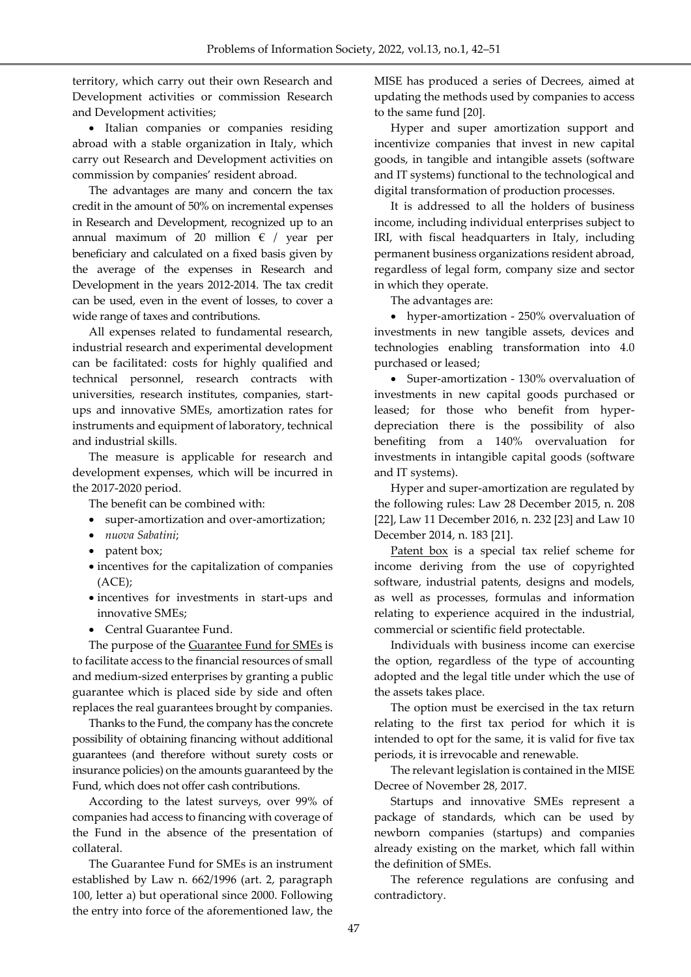territory, which carry out their own Research and Development activities or commission Research and Development activities;

• Italian companies or companies residing abroad with a stable organization in Italy, which carry out Research and Development activities on commission by companies' resident abroad.

The advantages are many and concern the tax credit in the amount of 50% on incremental expenses in Research and Development, recognized up to an annual maximum of 20 million  $\epsilon$  / year per beneficiary and calculated on a fixed basis given by the average of the expenses in Research and Development in the years 2012-2014. The tax credit can be used, even in the event of losses, to cover a wide range of taxes and contributions.

All expenses related to fundamental research, industrial research and experimental development can be facilitated: costs for highly qualified and technical personnel, research contracts with universities, research institutes, companies, startups and innovative SMEs, amortization rates for instruments and equipment of laboratory, technical and industrial skills.

The measure is applicable for research and development expenses, which will be incurred in the 2017-2020 period.

The benefit can be combined with:

- super-amortization and over-amortization;
- *nuova Sabatini*;
- patent box;
- incentives for the capitalization of companies (ACE);
- incentives for investments in start-ups and innovative SMEs;
- Central Guarantee Fund.

The purpose of the Guarantee Fund for SMEs is to facilitate access to the financial resources of small and medium-sized enterprises by granting a public guarantee which is placed side by side and often replaces the real guarantees brought by companies.

Thanks to the Fund, the company has the concrete possibility of obtaining financing without additional guarantees (and therefore without surety costs or insurance policies) on the amounts guaranteed by the Fund, which does not offer cash contributions.

According to the latest surveys, over 99% of companies had access to financing with coverage of the Fund in the absence of the presentation of collateral.

The Guarantee Fund for SMEs is an instrument established by Law n. 662/1996 (art. 2, paragraph 100, letter a) but operational since 2000. Following the entry into force of the aforementioned law, the

MISE has produced a series of Decrees, aimed at updating the methods used by companies to access to the same fund [20].

Hyper and super amortization support and incentivize companies that invest in new capital goods, in tangible and intangible assets (software and IT systems) functional to the technological and digital transformation of production processes.

It is addressed to all the holders of business income, including individual enterprises subject to IRI, with fiscal headquarters in Italy, including permanent business organizations resident abroad, regardless of legal form, company size and sector in which they operate.

The advantages are:

 hyper-amortization - 250% overvaluation of investments in new tangible assets, devices and technologies enabling transformation into 4.0 purchased or leased;

 Super-amortization - 130% overvaluation of investments in new capital goods purchased or leased; for those who benefit from hyperdepreciation there is the possibility of also benefiting from a 140% overvaluation for investments in intangible capital goods (software and IT systems).

Hyper and super-amortization are regulated by the following rules: Law 28 December 2015, n. 208 [22], Law 11 December 2016, n. 232 [23] and Law 10 December 2014, n. 183 [21].

Patent box is a special tax relief scheme for income deriving from the use of copyrighted software, industrial patents, designs and models, as well as processes, formulas and information relating to experience acquired in the industrial, commercial or scientific field protectable.

Individuals with business income can exercise the option, regardless of the type of accounting adopted and the legal title under which the use of the assets takes place.

The option must be exercised in the tax return relating to the first tax period for which it is intended to opt for the same, it is valid for five tax periods, it is irrevocable and renewable.

The relevant legislation is contained in the MISE Decree of November 28, 2017.

Startups and innovative SMEs represent a package of standards, which can be used by newborn companies (startups) and companies already existing on the market, which fall within the definition of SMEs.

The reference regulations are confusing and contradictory.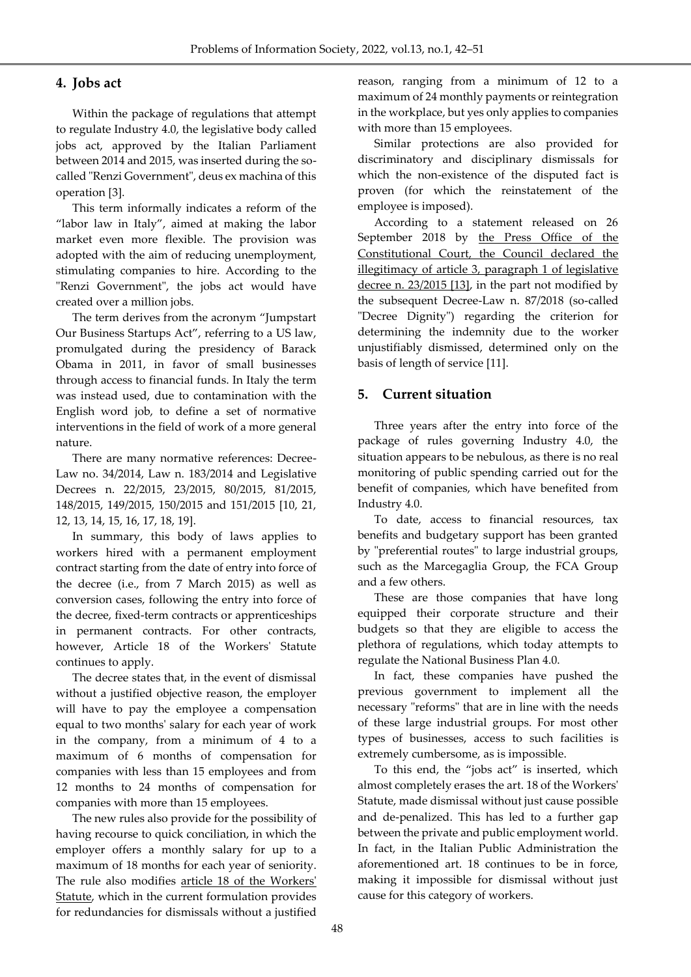### **4. Jobs act**

Within the package of regulations that attempt to regulate Industry 4.0, the legislative body called jobs act, approved by the Italian Parliament between 2014 and 2015, was inserted during the socalled "Renzi Government", deus ex machina of this operation [3].

This term informally indicates a reform of the "labor law in Italy", aimed at making the labor market even more flexible. The provision was adopted with the aim of reducing unemployment, stimulating companies to hire. According to the "Renzi Government", the jobs act would have created over a million jobs.

The term derives from the acronym "Jumpstart Our Business Startups Act", referring to a US law, promulgated during the presidency of Barack Obama in 2011, in favor of small businesses through access to financial funds. In Italy the term was instead used, due to contamination with the English word job, to define a set of normative interventions in the field of work of a more general nature.

There are many normative references: Decree-Law no. 34/2014, Law n. 183/2014 and Legislative Decrees n. 22/2015, 23/2015, 80/2015, 81/2015, 148/2015, 149/2015, 150/2015 and 151/2015 [10, 21, 12, 13, 14, 15, 16, 17, 18, 19].

In summary, this body of laws applies to workers hired with a permanent employment contract starting from the date of entry into force of the decree (i.e., from 7 March 2015) as well as conversion cases, following the entry into force of the decree, fixed-term contracts or apprenticeships in permanent contracts. For other contracts, however, Article 18 of the Workers' Statute continues to apply.

The decree states that, in the event of dismissal without a justified objective reason, the employer will have to pay the employee a compensation equal to two months' salary for each year of work in the company, from a minimum of 4 to a maximum of 6 months of compensation for companies with less than 15 employees and from 12 months to 24 months of compensation for companies with more than 15 employees.

The new rules also provide for the possibility of having recourse to quick conciliation, in which the employer offers a monthly salary for up to a maximum of 18 months for each year of seniority. The rule also modifies article 18 of the Workers' Statute, which in the current formulation provides for redundancies for dismissals without a justified

reason, ranging from a minimum of 12 to a maximum of 24 monthly payments or reintegration in the workplace, but yes only applies to companies with more than 15 employees.

Similar protections are also provided for discriminatory and disciplinary dismissals for which the non-existence of the disputed fact is proven (for which the reinstatement of the employee is imposed).

According to a statement released on 26 September 2018 by the Press Office of the Constitutional Court, the Council declared the illegitimacy of article 3, paragraph 1 of legislative decree n. 23/2015 [13], in the part not modified by the subsequent Decree-Law n. 87/2018 (so-called "Decree Dignity") regarding the criterion for determining the indemnity due to the worker unjustifiably dismissed, determined only on the basis of length of service [11].

### **5. Current situation**

Three years after the entry into force of the package of rules governing Industry 4.0, the situation appears to be nebulous, as there is no real monitoring of public spending carried out for the benefit of companies, which have benefited from Industry 4.0.

To date, access to financial resources, tax benefits and budgetary support has been granted by "preferential routes" to large industrial groups, such as the Marcegaglia Group, the FCA Group and a few others.

These are those companies that have long equipped their corporate structure and their budgets so that they are eligible to access the plethora of regulations, which today attempts to regulate the National Business Plan 4.0.

In fact, these companies have pushed the previous government to implement all the necessary "reforms" that are in line with the needs of these large industrial groups. For most other types of businesses, access to such facilities is extremely cumbersome, as is impossible.

To this end, the "jobs act" is inserted, which almost completely erases the art. 18 of the Workers' Statute, made dismissal without just cause possible and de-penalized. This has led to a further gap between the private and public employment world. In fact, in the Italian Public Administration the aforementioned art. 18 continues to be in force, making it impossible for dismissal without just cause for this category of workers.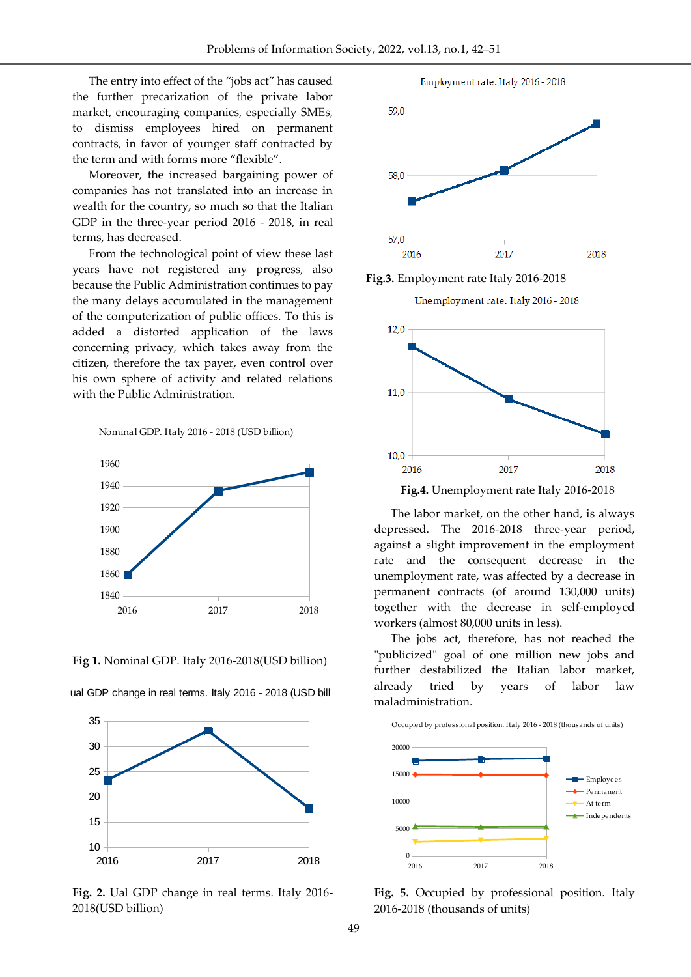The entry into effect of the "jobs act" has caused the further precarization of the private labor market, encouraging companies, especially SMEs, to dismiss employees hired on permanent contracts, in favor of younger staff contracted by the term and with forms more "flexible".

Moreover, the increased bargaining power of companies has not translated into an increase in wealth for the country, so much so that the Italian GDP in the three-year period 2016 - 2018, in real terms, has decreased.

From the technological point of view these last years have not registered any progress, also because the Public Administration continues to pay the many delays accumulated in the management of the computerization of public offices. To this is added a distorted application of the laws concerning privacy, which takes away from the citizen, therefore the tax payer, even control over his own sphere of activity and related relations with the Public Administration.

Nominal GDP. Italy 2016 - 2018 (USD billion)



**Fig 1.** Nominal GDP. Italy 2016-2018(USD billion)



ual GDP change in real terms. Italy 2016 - 2018 (USD bill

**Fig. 2.** Ual GDP change in real terms. Italy 2016- 2018(USD billion)



Employment rate. Italy 2016 - 2018

**Fig.3.** Employment rate Italy 2016-2018

Unemployment rate. Italy 2016 - 2018



 **Fig.4.** Unemployment rate Italy 2016-2018

The labor market, on the other hand, is always depressed. The 2016-2018 three-year period, against a slight improvement in the employment rate and the consequent decrease in the unemployment rate, was affected by a decrease in permanent contracts (of around 130,000 units) together with the decrease in self-employed workers (almost 80,000 units in less).

The jobs act, therefore, has not reached the "publicized" goal of one million new jobs and further destabilized the Italian labor market, already tried by years of labor law maladministration.



**Fig. 5.** Occupied by professional position. Italy 2016-2018 (thousands of units)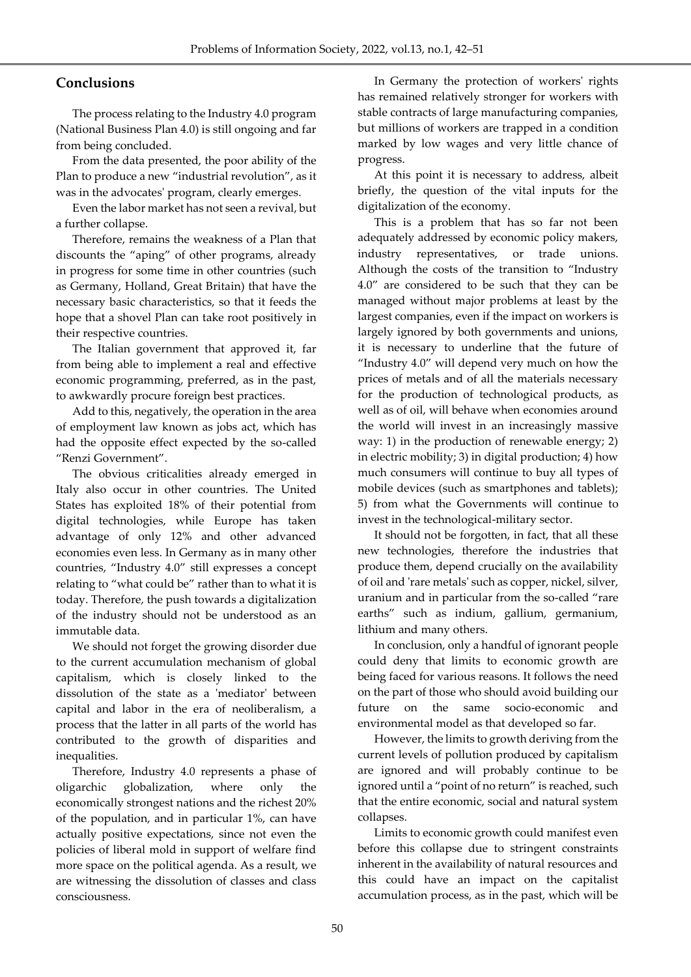## **Conclusions**

The process relating to the Industry 4.0 program (National Business Plan 4.0) is still ongoing and far from being concluded.

From the data presented, the poor ability of the Plan to produce a new "industrial revolution", as it was in the advocates' program, clearly emerges.

Even the labor market has not seen a revival, but a further collapse.

Therefore, remains the weakness of a Plan that discounts the "aping" of other programs, already in progress for some time in other countries (such as Germany, Holland, Great Britain) that have the necessary basic characteristics, so that it feeds the hope that a shovel Plan can take root positively in their respective countries.

The Italian government that approved it, far from being able to implement a real and effective economic programming, preferred, as in the past, to awkwardly procure foreign best practices.

Add to this, negatively, the operation in the area of employment law known as jobs act, which has had the opposite effect expected by the so-called "Renzi Government".

The obvious criticalities already emerged in Italy also occur in other countries. The United States has exploited 18% of their potential from digital technologies, while Europe has taken advantage of only 12% and other advanced economies even less. In Germany as in many other countries, "Industry 4.0" still expresses a concept relating to "what could be" rather than to what it is today. Therefore, the push towards a digitalization of the industry should not be understood as an immutable data.

We should not forget the growing disorder due to the current accumulation mechanism of global capitalism, which is closely linked to the dissolution of the state as a 'mediator' between capital and labor in the era of neoliberalism, a process that the latter in all parts of the world has contributed to the growth of disparities and inequalities.

Therefore, Industry 4.0 represents a phase of oligarchic globalization, where only the economically strongest nations and the richest 20% of the population, and in particular 1%, can have actually positive expectations, since not even the policies of liberal mold in support of welfare find more space on the political agenda. As a result, we are witnessing the dissolution of classes and class consciousness.

In Germany the protection of workers' rights has remained relatively stronger for workers with stable contracts of large manufacturing companies, but millions of workers are trapped in a condition marked by low wages and very little chance of progress.

At this point it is necessary to address, albeit briefly, the question of the vital inputs for the digitalization of the economy.

This is a problem that has so far not been adequately addressed by economic policy makers, industry representatives, or trade unions. Although the costs of the transition to "Industry 4.0" are considered to be such that they can be managed without major problems at least by the largest companies, even if the impact on workers is largely ignored by both governments and unions, it is necessary to underline that the future of "Industry 4.0" will depend very much on how the prices of metals and of all the materials necessary for the production of technological products, as well as of oil, will behave when economies around the world will invest in an increasingly massive way: 1) in the production of renewable energy; 2) in electric mobility; 3) in digital production; 4) how much consumers will continue to buy all types of mobile devices (such as smartphones and tablets); 5) from what the Governments will continue to invest in the technological-military sector.

It should not be forgotten, in fact, that all these new technologies, therefore the industries that produce them, depend crucially on the availability of oil and 'rare metals' such as copper, nickel, silver, uranium and in particular from the so-called "rare earths" such as indium, gallium, germanium, lithium and many others.

In conclusion, only a handful of ignorant people could deny that limits to economic growth are being faced for various reasons. It follows the need on the part of those who should avoid building our future on the same socio-economic and environmental model as that developed so far.

However, the limits to growth deriving from the current levels of pollution produced by capitalism are ignored and will probably continue to be ignored until a "point of no return" is reached, such that the entire economic, social and natural system collapses.

Limits to economic growth could manifest even before this collapse due to stringent constraints inherent in the availability of natural resources and this could have an impact on the capitalist accumulation process, as in the past, which will be